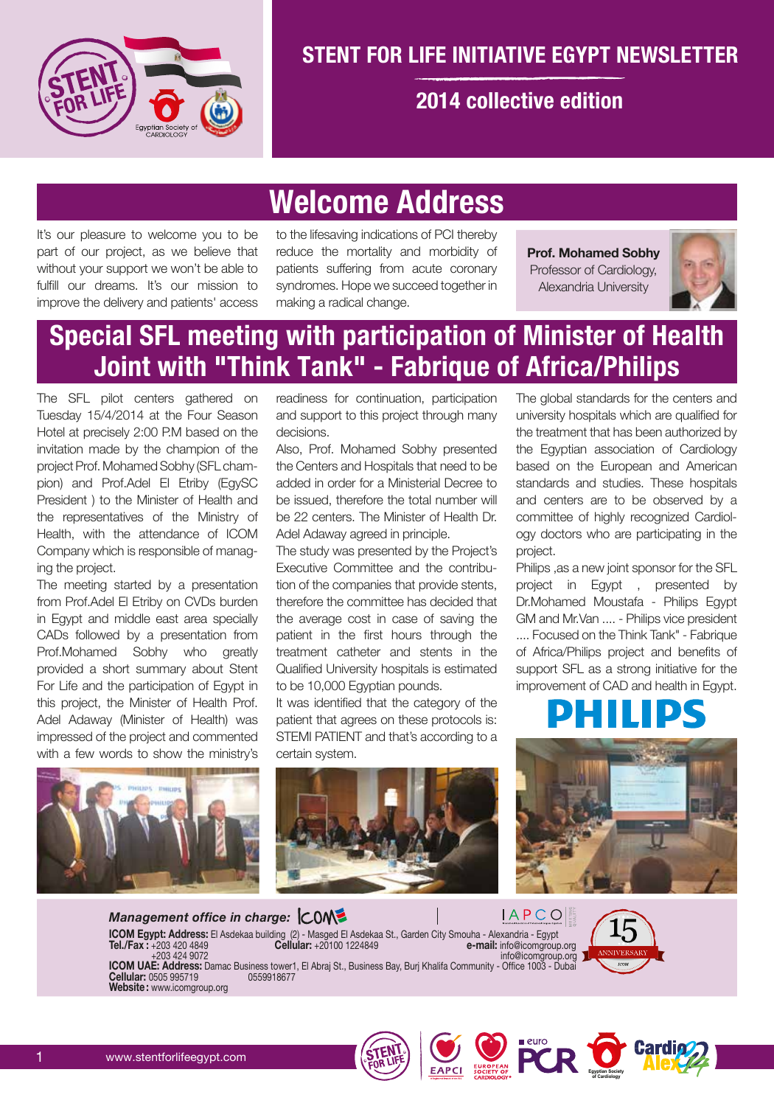

### **STENT FOR LIFE INITIATIVE EGYPT NEWSLETTER**

#### **2014 collective edition**

# **Welcome Address**

It's our pleasure to welcome you to be part of our project, as we believe that without your support we won't be able to fulfill our dreams. It's our mission to improve the delivery and patients' access

to the lifesaving indications of PCI thereby reduce the mortality and morbidity of patients suffering from acute coronary syndromes. Hope we succeed together in making a radical change.

**Prof. Mohamed Sobhy** Professor of Cardiology, Alexandria University



## **Special SFL meeting with participation of Minister of Health Joint with "Think Tank" - Fabrique of Africa/Philips**

The SFL pilot centers gathered on Tuesday 15/4/2014 at the Four Season Hotel at precisely 2:00 P.M based on the invitation made by the champion of the project Prof. Mohamed Sobhy (SFL champion) and Prof.Adel El Etriby (EgySC President ) to the Minister of Health and the representatives of the Ministry of Health, with the attendance of ICOM Company which is responsible of managing the project.

The meeting started by a presentation from Prof.Adel El Etriby on CVDs burden in Egypt and middle east area specially CADs followed by a presentation from Prof.Mohamed Sobhy who greatly provided a short summary about Stent For Life and the participation of Egypt in this project, the Minister of Health Prof. Adel Adaway (Minister of Health) was impressed of the project and commented with a few words to show the ministry's

readiness for continuation, participation and support to this project through many decisions.

Also, Prof. Mohamed Sobhy presented the Centers and Hospitals that need to be added in order for a Ministerial Decree to be issued, therefore the total number will be 22 centers. The Minister of Health Dr. Adel Adaway agreed in principle.

The study was presented by the Project's Executive Committee and the contribution of the companies that provide stents, therefore the committee has decided that the average cost in case of saving the patient in the first hours through the treatment catheter and stents in the Qualified University hospitals is estimated to be 10,000 Egyptian pounds.

It was identified that the category of the patient that agrees on these protocols is: STEMI PATIENT and that's according to a certain system.

The global standards for the centers and university hospitals which are qualified for the treatment that has been authorized by the Egyptian association of Cardiology based on the European and American standards and studies. These hospitals and centers are to be observed by a committee of highly recognized Cardiology doctors who are participating in the project.

Philips ,as a new joint sponsor for the SFL project in Egypt , presented by Dr.Mohamed Moustafa - Philips Egypt GM and Mr.Van .... - Philips vice president .... Focused on the Think Tank" - Fabrique of Africa/Philips project and benefits of support SFL as a strong initiative for the improvement of CAD and health in Egypt.





*Management office in charge:* **ICOM Egypt: Address:** El Asdekaa building (2) - Masged El Asdekaa St., Garden City Smouha - Alexandria - Egypt **Tel./Fax :** +203 420 4849 **Cellular:** +20100 1224849 **e-mail:** info@icomgroup.org





**Egyptian Society of Cardiology**

EAPCI SURPER PCR